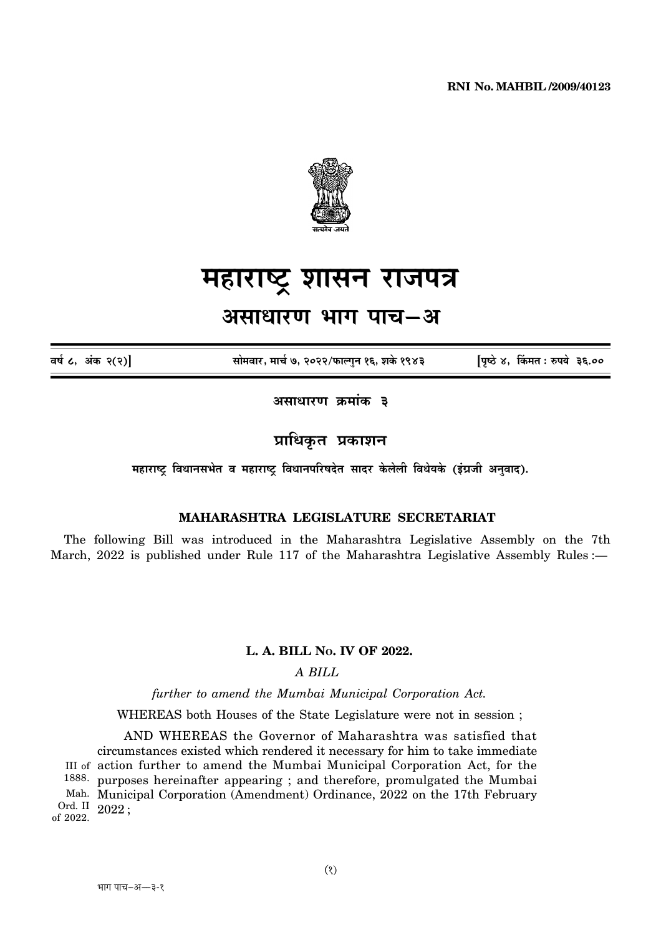

# महाराष्ट्र शासन राजपत्र

## असाधारण भाग पाच–अ

वर्ष ८, अंक २(२)

सोमवार, मार्च ७, २०२२/फाल्गुन १६, शके १९४३

पृष्ठे ४, किंमत: रुपये ३६.००

असाधारण क्रमांक ३

प्राधिकृत प्रकाशन

महाराष्ट विधानसभेत व महाराष्ट विधानपरिषदेत सादर केलेली विधेयके (इंग्रजी अनवाद).

### **MAHARASHTRA LEGISLATURE SECRETARIAT**

The following Bill was introduced in the Maharashtra Legislative Assembly on the 7th March, 2022 is published under Rule 117 of the Maharashtra Legislative Assembly Rules :-

#### L. A. BILL No. IV OF 2022.

A BILL

further to amend the Mumbai Municipal Corporation Act.

WHEREAS both Houses of the State Legislature were not in session;

AND WHEREAS the Governor of Maharashtra was satisfied that circumstances existed which rendered it necessary for him to take immediate III of action further to amend the Mumbai Municipal Corporation Act, for the 1888. purposes hereinafter appearing; and therefore, promulgated the Mumbai Mah. Municipal Corporation (Amendment) Ordinance, 2022 on the 17th February Ord. II  $2022$ ;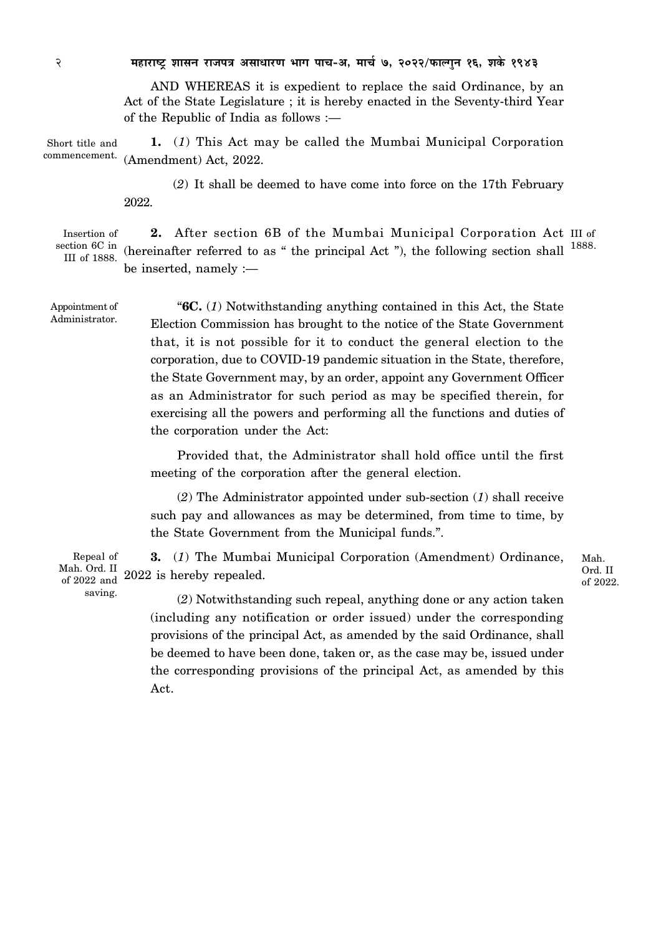2 **¨É½þÉ®úɹ]Åõ ¶ÉɺÉxÉ ®úÉVÉ{ÉjÉ +ºÉÉvÉÉ®úhÉ ¦ÉÉMÉ {ÉÉSÉ-+, ¨ÉÉSÉÇ 7, 2022/¡òɱMÉÖxÉ 16, ¶ÉEäò 1943**

AND WHEREAS it is expedient to replace the said Ordinance, by an Act of the State Legislature ; it is hereby enacted in the Seventy-third Year of the Republic of India as follows :—

Short title and commencement. **1.** (*1*) This Act may be called the Mumbai Municipal Corporation (Amendment) Act, 2022.

> (*2*) It shall be deemed to have come into force on the 17th February 2022.

Insertion of section 6C in III of 1888.

2. After section 6B of the Mumbai Municipal Corporation Act III of (hereinafter referred to as " the principal Act "), the following section shall  $^{1888}$ . be inserted, namely :—

Appointment of Administrator.

saving.

"**6C.** (*1*) Notwithstanding anything contained in this Act, the State Election Commission has brought to the notice of the State Government that, it is not possible for it to conduct the general election to the corporation, due to COVID-19 pandemic situation in the State, therefore, the State Government may, by an order, appoint any Government Officer as an Administrator for such period as may be specified therein, for exercising all the powers and performing all the functions and duties of the corporation under the Act:

Provided that, the Administrator shall hold office until the first meeting of the corporation after the general election.

(*2*) The Administrator appointed under sub-section (*1*) shall receive such pay and allowances as may be determined, from time to time, by the State Government from the Municipal funds.".

**3.** (*1*) The Mumbai Municipal Corporation (Amendment) Ordinance, 2022 is hereby repealed. Repeal of Mah. Ord. II of 2022 and

Mah. Ord. II of 2022.

(*2*) Notwithstanding such repeal, anything done or any action taken (including any notification or order issued) under the corresponding provisions of the principal Act, as amended by the said Ordinance, shall be deemed to have been done, taken or, as the case may be, issued under the corresponding provisions of the principal Act, as amended by this Act.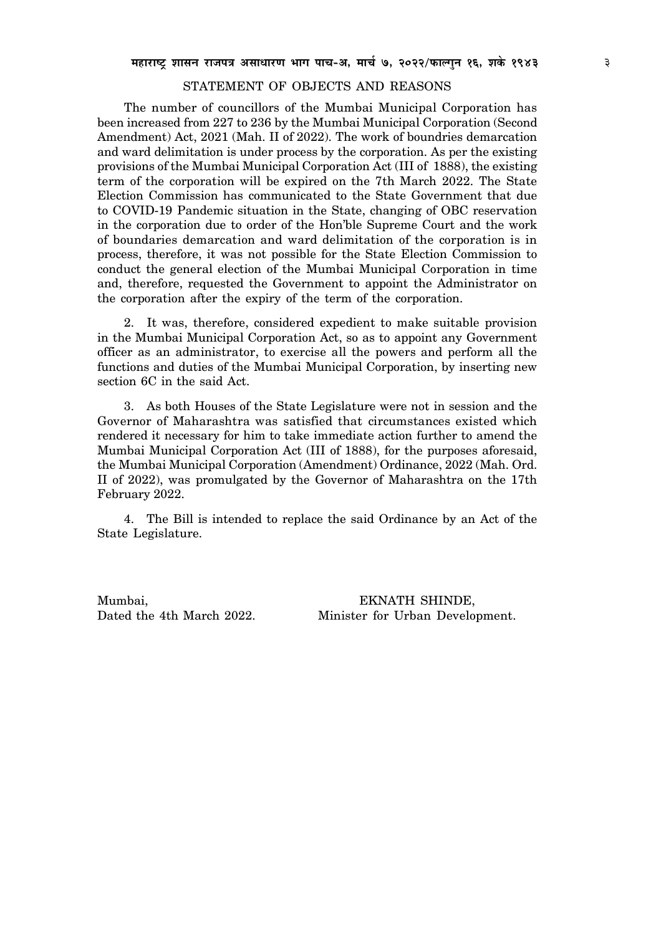#### STATEMENT OF OBJECTS AND REASONS

The number of councillors of the Mumbai Municipal Corporation has been increased from 227 to 236 by the Mumbai Municipal Corporation (Second Amendment) Act, 2021 (Mah. II of 2022). The work of boundries demarcation and ward delimitation is under process by the corporation. As per the existing provisions of the Mumbai Municipal Corporation Act (III of 1888), the existing term of the corporation will be expired on the 7th March 2022. The State Election Commission has communicated to the State Government that due to COVID-19 Pandemic situation in the State, changing of OBC reservation in the corporation due to order of the Hon'ble Supreme Court and the work of boundaries demarcation and ward delimitation of the corporation is in process, therefore, it was not possible for the State Election Commission to conduct the general election of the Mumbai Municipal Corporation in time and, therefore, requested the Government to appoint the Administrator on the corporation after the expiry of the term of the corporation.

2. It was, therefore, considered expedient to make suitable provision in the Mumbai Municipal Corporation Act, so as to appoint any Government officer as an administrator, to exercise all the powers and perform all the functions and duties of the Mumbai Municipal Corporation, by inserting new section 6C in the said Act.

3. As both Houses of the State Legislature were not in session and the Governor of Maharashtra was satisfied that circumstances existed which rendered it necessary for him to take immediate action further to amend the Mumbai Municipal Corporation Act (III of 1888), for the purposes aforesaid, the Mumbai Municipal Corporation (Amendment) Ordinance, 2022 (Mah. Ord. II of 2022), was promulgated by the Governor of Maharashtra on the 17th February 2022.

4. The Bill is intended to replace the said Ordinance by an Act of the State Legislature.

Mumbai, EKNATH SHINDE, Dated the 4th March 2022. Minister for Urban Development.